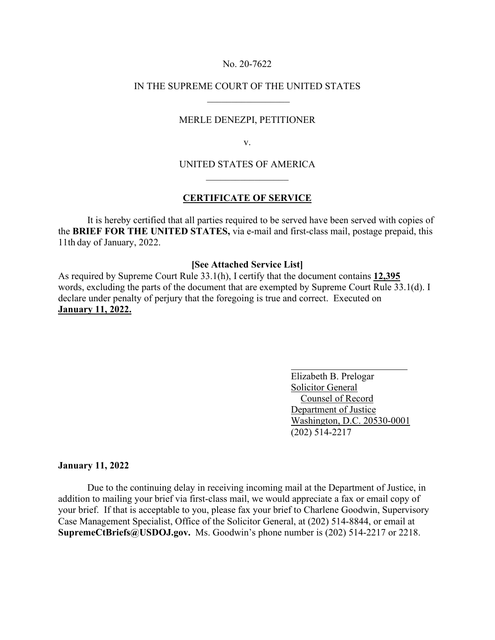### No. 20-7622

## IN THE SUPREME COURT OF THE UNITED STATES  $\frac{1}{2}$  ,  $\frac{1}{2}$  ,  $\frac{1}{2}$  ,  $\frac{1}{2}$  ,  $\frac{1}{2}$  ,  $\frac{1}{2}$  ,  $\frac{1}{2}$  ,  $\frac{1}{2}$  ,  $\frac{1}{2}$  ,  $\frac{1}{2}$

### MERLE DENEZPI, PETITIONER

v.

# UNITED STATES OF AMERICA  $\mathcal{L}$  , we have the set of the set of the set of the set of the set of the set of the set of the set of the set of the set of the set of the set of the set of the set of the set of the set of the set of the set of the

### **CERTIFICATE OF SERVICE**

 It is hereby certified that all parties required to be served have been served with copies of the **BRIEF FOR THE UNITED STATES,** via e-mail and first-class mail, postage prepaid, this 11th day of January, 2022.

## **[See Attached Service List]**

As required by Supreme Court Rule 33.1(h), I certify that the document contains **12,395**  words, excluding the parts of the document that are exempted by Supreme Court Rule 33.1(d). I declare under penalty of perjury that the foregoing is true and correct. Executed on **January 11, 2022.**

> Elizabeth B. Prelogar Solicitor General Counsel of Record Department of Justice Washington, D.C. 20530-0001 (202) 514-2217

### **January 11, 2022**

Due to the continuing delay in receiving incoming mail at the Department of Justice, in addition to mailing your brief via first-class mail, we would appreciate a fax or email copy of your brief. If that is acceptable to you, please fax your brief to Charlene Goodwin, Supervisory Case Management Specialist, Office of the Solicitor General, at (202) 514-8844, or email at **SupremeCtBriefs@USDOJ.gov.** Ms. Goodwin's phone number is (202) 514-2217 or 2218.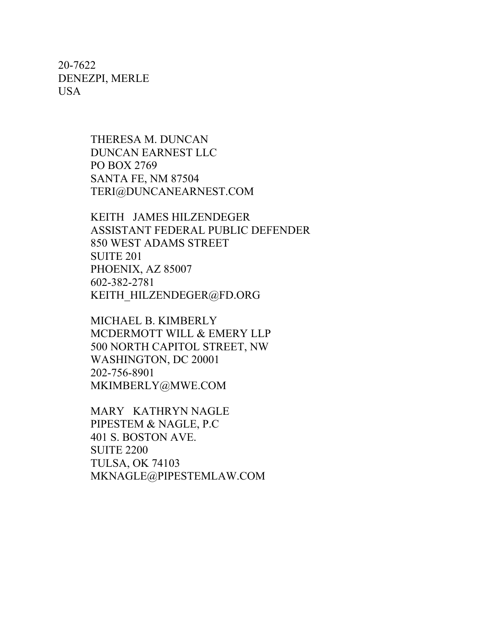20-7622 DENEZPI, MERLE USA

> THERESA M. DUNCAN DUNCAN EARNEST LLC PO BOX 2769 SANTA FE, NM 87504 TERI@DUNCANEARNEST.COM

KEITH JAMES HILZENDEGER ASSISTANT FEDERAL PUBLIC DEFENDER 850 WEST ADAMS STREET SUITE 201 PHOENIX, AZ 85007 602-382-2781 KEITH\_HILZENDEGER@FD.ORG

MICHAEL B. KIMBERLY MCDERMOTT WILL & EMERY LLP 500 NORTH CAPITOL STREET, NW WASHINGTON, DC 20001 202-756-8901 MKIMBERLY@MWE.COM

MARY KATHRYN NAGLE PIPESTEM & NAGLE, P.C 401 S. BOSTON AVE. SUITE 2200 TULSA, OK 74103 MKNAGLE@PIPESTEMLAW.COM